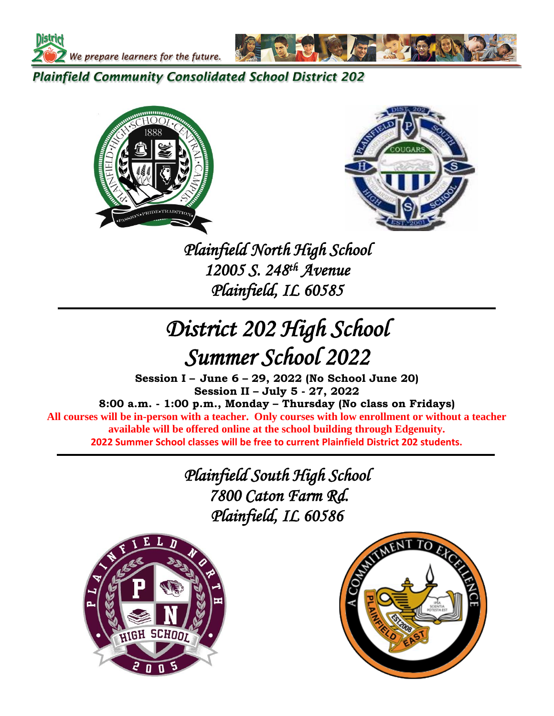

**Plainfield Community Consolidated School District 202** 





 *Plainfield North High School 12005 S. 248th Avenue Plainfield, IL 60585*

# *District 202 High School Summer School 2022*

**Session I – June 6 – 29, 2022 (No School June 20) Session II – July 5 - 27, 2022**

**8:00 a.m. - 1:00 p.m., Monday – Thursday (No class on Fridays) All courses will be in-person with a teacher. Only courses with low enrollment or without a teacher available will be offered online at the school building through Edgenuity. 2022 Summer School classes will be free to current Plainfield District 202 students.**

> *Plainfield South High School 7800 Caton Farm Rd. Plainfield, IL 60586*



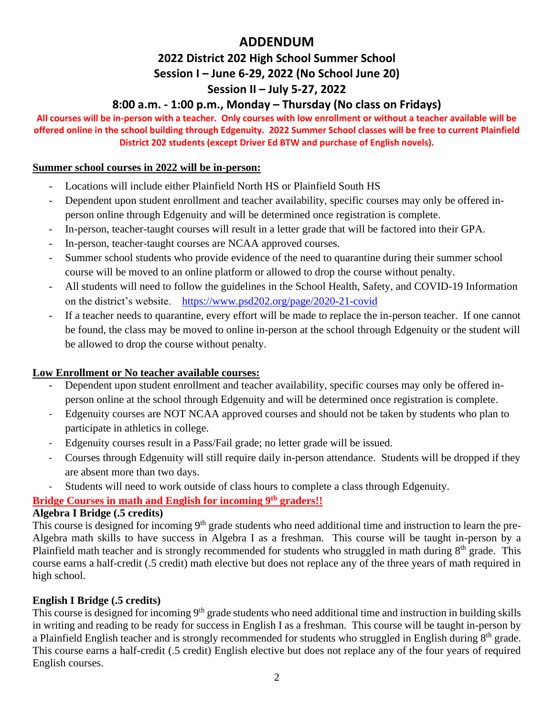# **ADDENDUM**

# **2022 District 202 High School Summer School Session I – June 6-29, 2022 (No School June 20) Session II – July 5-27, 2022**

# **8:00 a.m. - 1:00 p.m., Monday – Thursday (No class on Fridays)**

**All courses will be in-person with a teacher. Only courses with low enrollment or without a teacher available will be offered online in the school building through Edgenuity. 2022 Summer School classes will be free to current Plainfield District 202 students (except Driver Ed BTW and purchase of English novels).**

# **Summer school courses in 2022 will be in-person:**

- Locations will include either Plainfield North HS or Plainfield South HS
- Dependent upon student enrollment and teacher availability, specific courses may only be offered inperson online through Edgenuity and will be determined once registration is complete.
- In-person, teacher-taught courses will result in a letter grade that will be factored into their GPA.
- In-person, teacher-taught courses are NCAA approved courses.
- Summer school students who provide evidence of the need to quarantine during their summer school course will be moved to an online platform or allowed to drop the course without penalty.
- All students will need to follow the guidelines in the School Health, Safety, and COVID-19 Information on the district's website. <https://www.psd202.org/page/2020-21-covid>
- If a teacher needs to quarantine, every effort will be made to replace the in-person teacher. If one cannot be found, the class may be moved to online in-person at the school through Edgenuity or the student will be allowed to drop the course without penalty.

# **Low Enrollment or No teacher available courses:**

- Dependent upon student enrollment and teacher availability, specific courses may only be offered inperson online at the school through Edgenuity and will be determined once registration is complete.
- Edgenuity courses are NOT NCAA approved courses and should not be taken by students who plan to participate in athletics in college.
- Edgenuity courses result in a Pass/Fail grade; no letter grade will be issued.
- Courses through Edgenuity will still require daily in-person attendance. Students will be dropped if they are absent more than two days.
- Students will need to work outside of class hours to complete a class through Edgenuity.

# **Bridge Courses in math and English for incoming 9th graders!!**

# **Algebra I Bridge (.5 credits)**

This course is designed for incoming 9<sup>th</sup> grade students who need additional time and instruction to learn the pre-Algebra math skills to have success in Algebra I as a freshman. This course will be taught in-person by a Plainfield math teacher and is strongly recommended for students who struggled in math during  $8<sup>th</sup>$  grade. This course earns a half-credit (.5 credit) math elective but does not replace any of the three years of math required in high school.

# **English I Bridge (.5 credits)**

This course is designed for incoming 9<sup>th</sup> grade students who need additional time and instruction in building skills in writing and reading to be ready for success in English I as a freshman. This course will be taught in-person by a Plainfield English teacher and is strongly recommended for students who struggled in English during 8<sup>th</sup> grade. This course earns a half-credit (.5 credit) English elective but does not replace any of the four years of required English courses.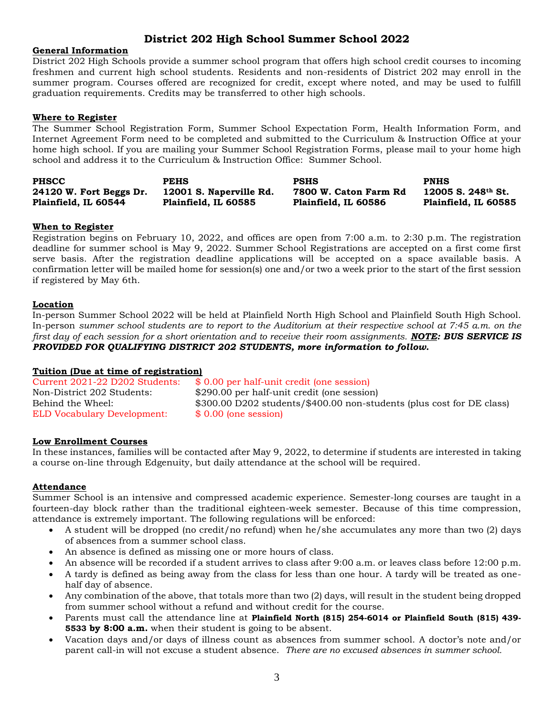# **District 202 High School Summer School 2022**

#### **General Information**

District 202 High Schools provide a summer school program that offers high school credit courses to incoming freshmen and current high school students. Residents and non-residents of District 202 may enroll in the summer program. Courses offered are recognized for credit, except where noted, and may be used to fulfill graduation requirements. Credits may be transferred to other high schools.

#### **Where to Register**

The Summer School Registration Form, Summer School Expectation Form, Health Information Form, and Internet Agreement Form need to be completed and submitted to the Curriculum & Instruction Office at your home high school. If you are mailing your Summer School Registration Forms, please mail to your home high school and address it to the Curriculum & Instruction Office: Summer School.

| <b>PHSCC</b>            | <b>PEHS</b>             | <b>PSHS</b>           | <b>PNHS</b>                        |
|-------------------------|-------------------------|-----------------------|------------------------------------|
| 24120 W. Fort Beggs Dr. | 12001 S. Naperville Rd. | 7800 W. Caton Farm Rd | $12005$ S. $248$ <sup>th</sup> St. |
| Plainfield, IL 60544    | Plainfield, IL 60585    | Plainfield, IL 60586  | Plainfield, IL 60585               |

#### **When to Register**

Registration begins on February 10, 2022, and offices are open from 7:00 a.m. to 2:30 p.m. The registration deadline for summer school is May 9, 2022. Summer School Registrations are accepted on a first come first serve basis. After the registration deadline applications will be accepted on a space available basis. A confirmation letter will be mailed home for session(s) one and/or two a week prior to the start of the first session if registered by May 6th.

#### **Location**

In-person Summer School 2022 will be held at Plainfield North High School and Plainfield South High School. In-person *summer school students are to report to the Auditorium at their respective school at 7:45 a.m. on the first day of each session for a short orientation and to receive their room assignments. NOTE: BUS SERVICE IS PROVIDED FOR QUALIFYING DISTRICT 202 STUDENTS, more information to follow.*

#### **Tuition (Due at time of registration)**

Current 2021-22 D202 Students: \$ 0.00 per half-unit credit (one session) Non-District 202 Students: \$290.00 per half-unit credit (one session) Behind the Wheel:  $$300.00 \text{ D}202 \text{ students}/$400.00 \text{ non-students}$  (plus cost for DE class) ELD Vocabulary Development: \$ 0.00 (one session)

#### **Low Enrollment Courses**

In these instances, families will be contacted after May 9, 2022, to determine if students are interested in taking a course on-line through Edgenuity, but daily attendance at the school will be required.

#### **Attendance**

Summer School is an intensive and compressed academic experience. Semester-long courses are taught in a fourteen-day block rather than the traditional eighteen-week semester. Because of this time compression, attendance is extremely important. The following regulations will be enforced:

- A student will be dropped (no credit/no refund) when he/she accumulates any more than two (2) days of absences from a summer school class.
- An absence is defined as missing one or more hours of class.
- An absence will be recorded if a student arrives to class after 9:00 a.m. or leaves class before 12:00 p.m.
- A tardy is defined as being away from the class for less than one hour. A tardy will be treated as onehalf day of absence.
- Any combination of the above, that totals more than two (2) days, will result in the student being dropped from summer school without a refund and without credit for the course.
- Parents must call the attendance line at **Plainfield North (815) 254-6014 or Plainfield South (815) 439- 5533 by 8:00 a.m.** when their student is going to be absent.
- Vacation days and/or days of illness count as absences from summer school. A doctor's note and/or parent call-in will not excuse a student absence. *There are no excused absences in summer school.*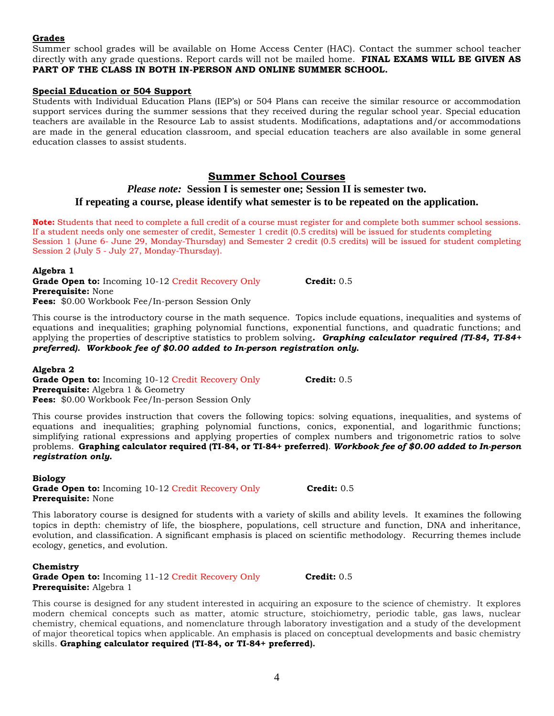#### **Grades**

Summer school grades will be available on Home Access Center (HAC). Contact the summer school teacher directly with any grade questions. Report cards will not be mailed home. **FINAL EXAMS WILL BE GIVEN AS PART OF THE CLASS IN BOTH IN-PERSON AND ONLINE SUMMER SCHOOL.**

#### **Special Education or 504 Support**

Students with Individual Education Plans (IEP's) or 504 Plans can receive the similar resource or accommodation support services during the summer sessions that they received during the regular school year. Special education teachers are available in the Resource Lab to assist students. Modifications, adaptations and/or accommodations are made in the general education classroom, and special education teachers are also available in some general education classes to assist students.

#### **Summer School Courses**

### *Please note:* **Session I is semester one; Session II is semester two. If repeating a course, please identify what semester is to be repeated on the application.**

**Note:** Students that need to complete a full credit of a course must register for and complete both summer school sessions. If a student needs only one semester of credit, Semester 1 credit (0.5 credits) will be issued for students completing Session 1 (June 6- June 29, Monday-Thursday) and Semester 2 credit (0.5 credits) will be issued for student completing Session 2 (July 5 - July 27, Monday-Thursday).

**Algebra 1** 

**Grade Open to:** Incoming 10-12 Credit Recovery Only **Credit:** 0.5 **Prerequisite:** None **Fees:** \$0.00 Workbook Fee/In-person Session Only

This course is the introductory course in the math sequence. Topics include equations, inequalities and systems of equations and inequalities; graphing polynomial functions, exponential functions, and quadratic functions; and applying the properties of descriptive statistics to problem solving*. Graphing calculator required (TI-84, TI-84+ preferred). Workbook fee of \$0.00 added to In-person registration only.*

#### **Algebra 2**

**Grade Open to:** Incoming 10-12 Credit Recovery Only **Credit:** 0.5 **Prerequisite:** Algebra 1 & Geometry **Fees:** \$0.00 Workbook Fee/In-person Session Only

This course provides instruction that covers the following topics: solving equations, inequalities, and systems of equations and inequalities; graphing polynomial functions, conics, exponential, and logarithmic functions; simplifying rational expressions and applying properties of complex numbers and trigonometric ratios to solve problems. **Graphing calculator required (TI-84, or TI-84+ preferred)**. *Workbook fee of \$0.00 added to In-person registration only.*

**Biology Grade Open to:** Incoming 10-12 Credit Recovery Only **Credit:** 0.5 **Prerequisite:** None

This laboratory course is designed for students with a variety of skills and ability levels. It examines the following topics in depth: chemistry of life, the biosphere, populations, cell structure and function, DNA and inheritance, evolution, and classification. A significant emphasis is placed on scientific methodology. Recurring themes include ecology, genetics, and evolution.

**Chemistry Grade Open to:** Incoming 11-12 Credit Recovery Only **Credit:** 0.5 **Prerequisite:** Algebra 1

This course is designed for any student interested in acquiring an exposure to the science of chemistry. It explores modern chemical concepts such as matter, atomic structure, stoichiometry, periodic table, gas laws, nuclear chemistry, chemical equations, and nomenclature through laboratory investigation and a study of the development of major theoretical topics when applicable. An emphasis is placed on conceptual developments and basic chemistry skills. **Graphing calculator required (TI-84, or TI-84+ preferred).**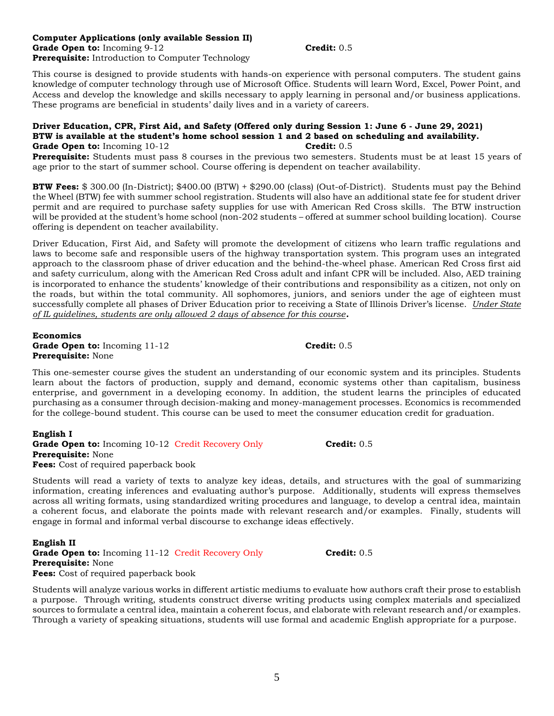#### **Computer Applications (only available Session II) Grade Open to:** Incoming 9-12 **Credit:** 0.5 **Prerequisite:** Introduction to Computer Technology

This course is designed to provide students with hands-on experience with personal computers. The student gains knowledge of computer technology through use of Microsoft Office. Students will learn Word, Excel, Power Point, and Access and develop the knowledge and skills necessary to apply learning in personal and/or business applications. These programs are beneficial in students' daily lives and in a variety of careers.

#### **Driver Education, CPR, First Aid, and Safety (Offered only during Session 1: June 6 - June 29, 2021) BTW is available at the student's home school session 1 and 2 based on scheduling and availability. Grade Open to:** Incoming 10-12 **Credit:** 0.5

**Prerequisite:** Students must pass 8 courses in the previous two semesters. Students must be at least 15 years of age prior to the start of summer school. Course offering is dependent on teacher availability.

**BTW Fees:** \$ 300.00 (In-District); \$400.00 (BTW) + \$290.00 (class) (Out-of-District). Students must pay the Behind the Wheel (BTW) fee with summer school registration. Students will also have an additional state fee for student driver permit and are required to purchase safety supplies for use with American Red Cross skills. The BTW instruction will be provided at the student's home school (non-202 students – offered at summer school building location). Course offering is dependent on teacher availability.

Driver Education, First Aid, and Safety will promote the development of citizens who learn traffic regulations and laws to become safe and responsible users of the highway transportation system. This program uses an integrated approach to the classroom phase of driver education and the behind-the-wheel phase. American Red Cross first aid and safety curriculum, along with the American Red Cross adult and infant CPR will be included. Also, AED training is incorporated to enhance the students' knowledge of their contributions and responsibility as a citizen, not only on the roads, but within the total community. All sophomores, juniors, and seniors under the age of eighteen must successfully complete all phases of Driver Education prior to receiving a State of Illinois Driver's license. *Under State of IL guidelines, students are only allowed 2 days of absence for this course.*

**Economics Grade Open to:** Incoming 11-12 **Credit:** 0.5 **Prerequisite:** None

This one-semester course gives the student an understanding of our economic system and its principles. Students learn about the factors of production, supply and demand, economic systems other than capitalism, business enterprise, and government in a developing economy. In addition, the student learns the principles of educated purchasing as a consumer through decision-making and money-management processes. Economics is recommended for the college-bound student. This course can be used to meet the consumer education credit for graduation.

**English I Grade Open to:** Incoming 10-12 Credit Recovery Only **Credit:** 0.5 **Prerequisite:** None **Fees:** Cost of required paperback book

Students will read a variety of texts to analyze key ideas, details, and structures with the goal of summarizing information, creating inferences and evaluating author's purpose. Additionally, students will express themselves across all writing formats, using standardized writing procedures and language, to develop a central idea, maintain a coherent focus, and elaborate the points made with relevant research and/or examples. Finally, students will engage in formal and informal verbal discourse to exchange ideas effectively.

**English II Grade Open to:** Incoming 11-12 Credit Recovery Only **Credit:** 0.5 **Prerequisite:** None **Fees:** Cost of required paperback book

Students will analyze various works in different artistic mediums to evaluate how authors craft their prose to establish a purpose. Through writing, students construct diverse writing products using complex materials and specialized sources to formulate a central idea, maintain a coherent focus, and elaborate with relevant research and/or examples. Through a variety of speaking situations, students will use formal and academic English appropriate for a purpose.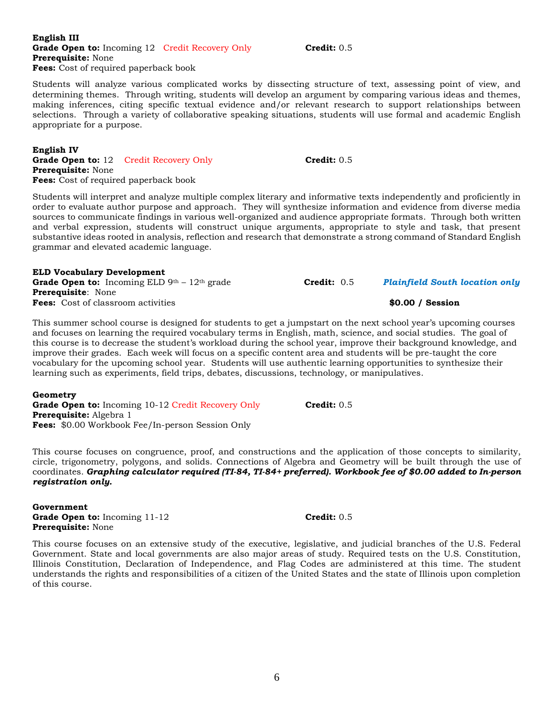#### **English III Grade Open to:** Incoming 12 Credit Recovery Only **Credit:** 0.5 **Prerequisite:** None **Fees:** Cost of required paperback book

Students will analyze various complicated works by dissecting structure of text, assessing point of view, and determining themes. Through writing, students will develop an argument by comparing various ideas and themes, making inferences, citing specific textual evidence and/or relevant research to support relationships between selections. Through a variety of collaborative speaking situations, students will use formal and academic English appropriate for a purpose.

#### **English IV Grade Open to:** 12 Credit Recovery Only **Credit:** 0.5 **Prerequisite:** None **Fees:** Cost of required paperback book

Students will interpret and analyze multiple complex literary and informative texts independently and proficiently in order to evaluate author purpose and approach. They will synthesize information and evidence from diverse media sources to communicate findings in various well-organized and audience appropriate formats. Through both written and verbal expression, students will construct unique arguments, appropriate to style and task, that present substantive ideas rooted in analysis, reflection and research that demonstrate a strong command of Standard English grammar and elevated academic language.

### **ELD Vocabulary Development**

Grade Open to: Incoming ELD 9<sup>th</sup> – 12<sup>th</sup> grade **Credit:** 0.5 *Plainfield South location only* **Prerequisite**: None **Fees:** Cost of classroom activities **\$0.00 / Session**

This summer school course is designed for students to get a jumpstart on the next school year's upcoming courses and focuses on learning the required vocabulary terms in English, math, science, and social studies. The goal of this course is to decrease the student's workload during the school year, improve their background knowledge, and improve their grades. Each week will focus on a specific content area and students will be pre-taught the core vocabulary for the upcoming school year. Students will use authentic learning opportunities to synthesize their learning such as experiments, field trips, debates, discussions, technology, or manipulatives.

#### **Geometry**

**Grade Open to:** Incoming 10-12 Credit Recovery Only **Credit:** 0.5 **Prerequisite:** Algebra 1 **Fees:** \$0.00 Workbook Fee/In-person Session Only

This course focuses on congruence, proof, and constructions and the application of those concepts to similarity, circle, trigonometry, polygons, and solids. Connections of Algebra and Geometry will be built through the use of coordinates. *Graphing calculator required (TI-84, TI-84+ preferred). Workbook fee of \$0.00 added to In-person registration only.*

**Government Grade Open to:** Incoming 11-12 **Credit:** 0.5 **Prerequisite:** None

This course focuses on an extensive study of the executive, legislative, and judicial branches of the U.S. Federal Government. State and local governments are also major areas of study. Required tests on the U.S. Constitution, Illinois Constitution, Declaration of Independence, and Flag Codes are administered at this time. The student understands the rights and responsibilities of a citizen of the United States and the state of Illinois upon completion of this course.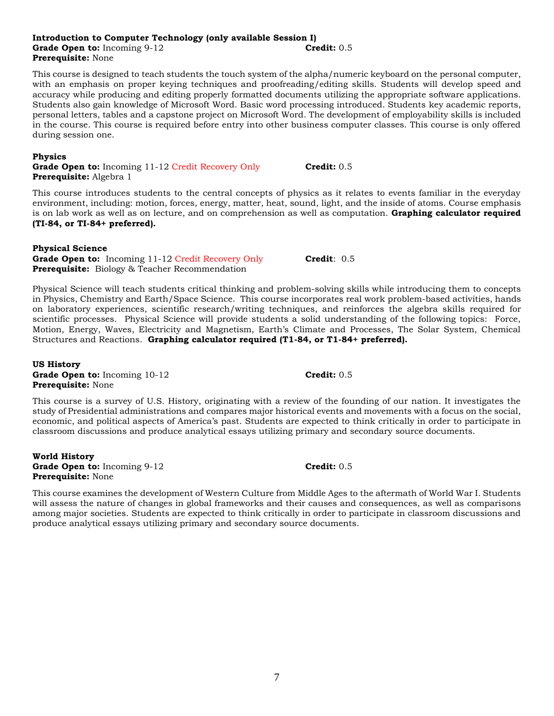#### **Introduction to Computer Technology (only available Session I) Grade Open to:** Incoming 9-12 **Credit:** 0.5 **Prerequisite:** None

This course is designed to teach students the touch system of the alpha/numeric keyboard on the personal computer, with an emphasis on proper keying techniques and proofreading/editing skills. Students will develop speed and accuracy while producing and editing properly formatted documents utilizing the appropriate software applications. Students also gain knowledge of Microsoft Word. Basic word processing introduced. Students key academic reports, personal letters, tables and a capstone project on Microsoft Word. The development of employability skills is included in the course. This course is required before entry into other business computer classes. This course is only offered during session one.

#### **Physics**

**Grade Open to:** Incoming 11-12 Credit Recovery Only **Credit:** 0.5 **Prerequisite:** Algebra 1

This course introduces students to the central concepts of physics as it relates to events familiar in the everyday environment, including: motion, forces, energy, matter, heat, sound, light, and the inside of atoms. Course emphasis is on lab work as well as on lecture, and on comprehension as well as computation. **Graphing calculator required (TI-84, or TI-84+ preferred).**

#### **Physical Science**

Grade Open to: Incoming 11-12 Credit Recovery Only **Credit**: 0.5 **Prerequisite:** Biology & Teacher Recommendation

Physical Science will teach students critical thinking and problem-solving skills while introducing them to concepts in Physics, Chemistry and Earth/Space Science. This course incorporates real work problem-based activities, hands on laboratory experiences, scientific research/writing techniques, and reinforces the algebra skills required for scientific processes. Physical Science will provide students a solid understanding of the following topics: Force, Motion, Energy, Waves, Electricity and Magnetism, Earth's Climate and Processes, The Solar System, Chemical Structures and Reactions. **Graphing calculator required (T1-84, or T1-84+ preferred).**

**US History Grade Open to:** Incoming 10-12 **Credit:** 0.5 **Prerequisite:** None

This course is a survey of U.S. History, originating with a review of the founding of our nation. It investigates the study of Presidential administrations and compares major historical events and movements with a focus on the social, economic, and political aspects of America's past. Students are expected to think critically in order to participate in classroom discussions and produce analytical essays utilizing primary and secondary source documents.

**World History Grade Open to:** Incoming 9-12 **Credit:** 0.5 **Prerequisite:** None

This course examines the development of Western Culture from Middle Ages to the aftermath of World War I. Students will assess the nature of changes in global frameworks and their causes and consequences, as well as comparisons among major societies. Students are expected to think critically in order to participate in classroom discussions and produce analytical essays utilizing primary and secondary source documents.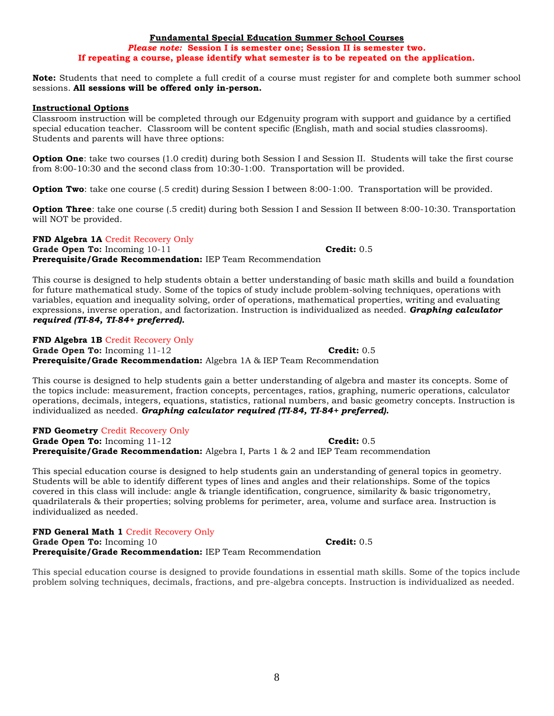This course is designed to help students obtain a better understanding of basic math skills and build a foundation for future mathematical study. Some of the topics of study include problem-solving techniques, operations with variables, equation and inequality solving, order of operations, mathematical properties, writing and evaluating expressions, inverse operation, and factorization. Instruction is individualized as needed. *Graphing calculator required (TI-84, TI-84+ preferred).* 

**FND Algebra 1B** Credit Recovery Only **Grade Open To:** Incoming 11-12 **Credit: 0.5 Credit: 0.5 Prerequisite/Grade Recommendation:** Algebra 1A & IEP Team Recommendation

This course is designed to help students gain a better understanding of algebra and master its concepts. Some of the topics include: measurement, fraction concepts, percentages, ratios, graphing, numeric operations, calculator operations, decimals, integers, equations, statistics, rational numbers, and basic geometry concepts. Instruction is individualized as needed. *Graphing calculator required (TI-84, TI-84+ preferred).* 

**FND Geometry** Credit Recovery Only **Grade Open To:** Incoming 11-12 **Credit:** 0.5 **Prerequisite/Grade Recommendation:** Algebra I, Parts 1 & 2 and IEP Team recommendation

This special education course is designed to help students gain an understanding of general topics in geometry. Students will be able to identify different types of lines and angles and their relationships. Some of the topics covered in this class will include: angle & triangle identification, congruence, similarity & basic trigonometry, quadrilaterals & their properties; solving problems for perimeter, area, volume and surface area. Instruction is individualized as needed.

**FND General Math 1** Credit Recovery Only **Grade Open To:** Incoming 10 **Credit:** 0.5 **Prerequisite/Grade Recommendation:** IEP Team Recommendation

This special education course is designed to provide foundations in essential math skills. Some of the topics include problem solving techniques, decimals, fractions, and pre-algebra concepts. Instruction is individualized as needed.

#### **Fundamental Special Education Summer School Courses**

# *Please note:* **Session I is semester one; Session II is semester two. If repeating a course, please identify what semester is to be repeated on the application.**

**Note:** Students that need to complete a full credit of a course must register for and complete both summer school sessions. **All sessions will be offered only in-person.**

#### **Instructional Options**

Classroom instruction will be completed through our Edgenuity program with support and guidance by a certified special education teacher. Classroom will be content specific (English, math and social studies classrooms). Students and parents will have three options:

**Option One**: take two courses (1.0 credit) during both Session I and Session II. Students will take the first course from 8:00-10:30 and the second class from 10:30-1:00. Transportation will be provided.

**Option Two**: take one course (.5 credit) during Session I between 8:00-1:00. Transportation will be provided.

**Option Three**: take one course (.5 credit) during both Session I and Session II between 8:00-10:30. Transportation will NOT be provided.

**FND Algebra 1A** Credit Recovery Only Grade Open To: Incoming 10-11 **Credit: 0.5 Prerequisite/Grade Recommendation:** IEP Team Recommendation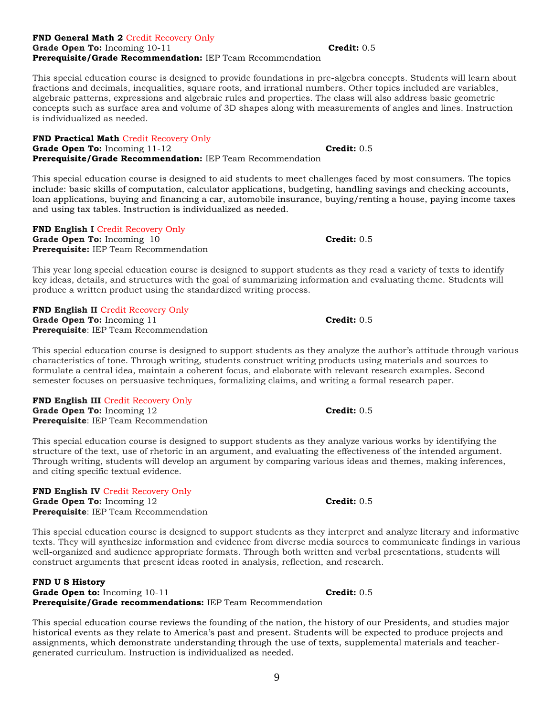#### **FND General Math 2** Credit Recovery Only **Grade Open To:** Incoming 10-11 **Credit:** 0.5 **Prerequisite/Grade Recommendation:** IEP Team Recommendation

This special education course is designed to provide foundations in pre-algebra concepts. Students will learn about fractions and decimals, inequalities, square roots, and irrational numbers. Other topics included are variables, algebraic patterns, expressions and algebraic rules and properties. The class will also address basic geometric concepts such as surface area and volume of 3D shapes along with measurements of angles and lines. Instruction is individualized as needed.

**FND Practical Math** Credit Recovery Only Grade Open To: Incoming 11-12 **Credit: 0.5 Prerequisite/Grade Recommendation:** IEP Team Recommendation

This special education course is designed to aid students to meet challenges faced by most consumers. The topics include: basic skills of computation, calculator applications, budgeting, handling savings and checking accounts, loan applications, buying and financing a car, automobile insurance, buying/renting a house, paying income taxes and using tax tables. Instruction is individualized as needed.

**FND English I Credit Recovery Only** Grade Open To: Incoming 10 **Credit: 0.5 Credit: 0.5 Prerequisite:** IEP Team Recommendation

This year long special education course is designed to support students as they read a variety of texts to identify key ideas, details, and structures with the goal of summarizing information and evaluating theme. Students will produce a written product using the standardized writing process.

**FND English II** Credit Recovery Only Grade Open To: Incoming 11 **Credit: 0.5 Prerequisite**: IEP Team Recommendation

This special education course is designed to support students as they analyze the author's attitude through various characteristics of tone. Through writing, students construct writing products using materials and sources to formulate a central idea, maintain a coherent focus, and elaborate with relevant research examples. Second semester focuses on persuasive techniques, formalizing claims, and writing a formal research paper.

**FND English III** Credit Recovery Only **Grade Open To:** Incoming 12 **Credit:** 0.5 **Prerequisite**: IEP Team Recommendation

This special education course is designed to support students as they analyze various works by identifying the structure of the text, use of rhetoric in an argument, and evaluating the effectiveness of the intended argument. Through writing, students will develop an argument by comparing various ideas and themes, making inferences, and citing specific textual evidence.

**FND English IV** Credit Recovery Only Grade Open To: Incoming 12 **Credit:** 0.5 **Prerequisite**: IEP Team Recommendation

This special education course is designed to support students as they interpret and analyze literary and informative texts. They will synthesize information and evidence from diverse media sources to communicate findings in various well-organized and audience appropriate formats. Through both written and verbal presentations, students will construct arguments that present ideas rooted in analysis, reflection, and research.

#### **FND U S History**  Grade Open to: Incoming 10-11 **Credit: 0.5 Credit: 0.5 Prerequisite/Grade recommendations:** IEP Team Recommendation

This special education course reviews the founding of the nation, the history of our Presidents, and studies major historical events as they relate to America's past and present. Students will be expected to produce projects and assignments, which demonstrate understanding through the use of texts, supplemental materials and teachergenerated curriculum. Instruction is individualized as needed.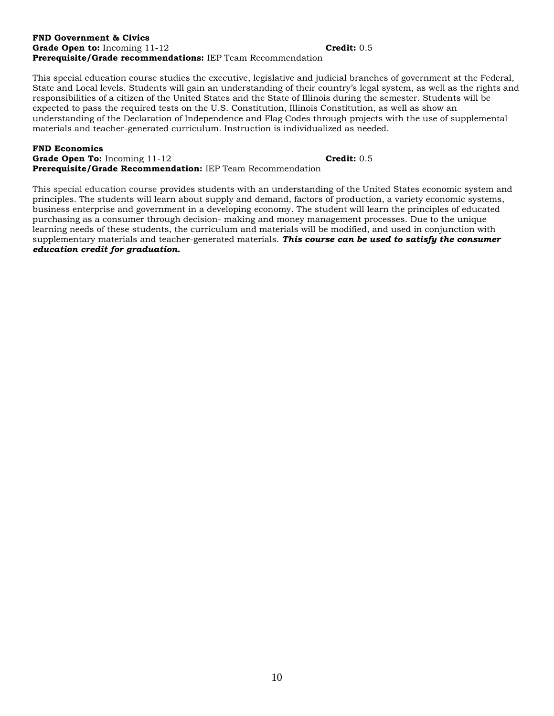#### **FND Government & Civics Grade Open to:** Incoming 11-12 **Credit:** 0.5 **Prerequisite/Grade recommendations:** IEP Team Recommendation

This special education course studies the executive, legislative and judicial branches of government at the Federal, State and Local levels. Students will gain an understanding of their country's legal system, as well as the rights and responsibilities of a citizen of the United States and the State of Illinois during the semester. Students will be expected to pass the required tests on the U.S. Constitution, Illinois Constitution, as well as show an understanding of the Declaration of Independence and Flag Codes through projects with the use of supplemental materials and teacher-generated curriculum. Instruction is individualized as needed.

#### **FND Economics**

**Grade Open To:** Incoming 11-12 **Credit:** 0.5 **Prerequisite/Grade Recommendation:** IEP Team Recommendation

This special education course provides students with an understanding of the United States economic system and principles. The students will learn about supply and demand, factors of production, a variety economic systems, business enterprise and government in a developing economy. The student will learn the principles of educated purchasing as a consumer through decision- making and money management processes. Due to the unique learning needs of these students, the curriculum and materials will be modified, and used in conjunction with supplementary materials and teacher-generated materials. *This course can be used to satisfy the consumer education credit for graduation.*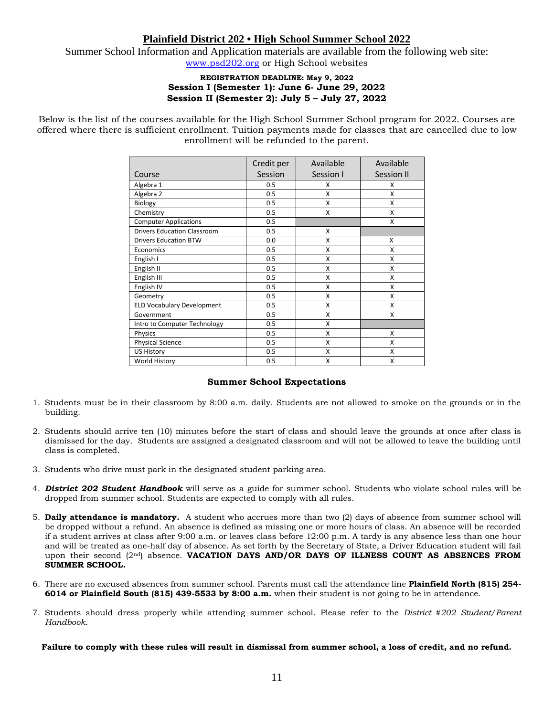## **Plainfield District 202 • High School Summer School 2022**

Summer School Information and Application materials are available from the following web site: [www.psd202.org](http://www.psd202.org/) or High School websites

#### **REGISTRATION DEADLINE: May 9, 2022 Session I (Semester 1): June 6- June 29, 2022 Session II (Semester 2): July 5 – July 27, 2022**

Below is the list of the courses available for the High School Summer School program for 2022. Courses are offered where there is sufficient enrollment. Tuition payments made for classes that are cancelled due to low enrollment will be refunded to the parent.

|                                    | Credit per | Available | Available  |
|------------------------------------|------------|-----------|------------|
| Course                             | Session    | Session I | Session II |
| Algebra 1                          | 0.5        | x         | x          |
| Algebra 2                          | 0.5        | X         | X          |
| <b>Biology</b>                     | 0.5        | X         | X          |
| Chemistry                          | 0.5        | X         | X          |
| <b>Computer Applications</b>       | 0.5        |           | X          |
| <b>Drivers Education Classroom</b> | 0.5        | X         |            |
| <b>Drivers Education BTW</b>       | 0.0        | X         | X          |
| Economics                          | 0.5        | X         | X          |
| English I                          | 0.5        | X         | X          |
| English II                         | 0.5        | x         | X          |
| English III                        | 0.5        | X         | X          |
| English IV                         | 0.5        | X         | X          |
| Geometry                           | 0.5        | X         | X          |
| <b>ELD Vocabulary Development</b>  | 0.5        | X         | X          |
| Government                         | 0.5        | X         | x          |
| Intro to Computer Technology       | 0.5        | X         |            |
| Physics                            | 0.5        | x         | x          |
| <b>Physical Science</b>            | 0.5        | X         | x          |
| <b>US History</b>                  | 0.5        | X         | X          |
| World History                      | 0.5        | X         | X          |

#### **Summer School Expectations**

- 1. Students must be in their classroom by 8:00 a.m. daily. Students are not allowed to smoke on the grounds or in the building.
- 2. Students should arrive ten (10) minutes before the start of class and should leave the grounds at once after class is dismissed for the day. Students are assigned a designated classroom and will not be allowed to leave the building until class is completed.
- 3. Students who drive must park in the designated student parking area.
- 4. *District 202 Student Handbook* will serve as a guide for summer school. Students who violate school rules will be dropped from summer school. Students are expected to comply with all rules.
- 5. **Daily attendance is mandatory.** A student who accrues more than two (2) days of absence from summer school will be dropped without a refund. An absence is defined as missing one or more hours of class. An absence will be recorded if a student arrives at class after 9:00 a.m. or leaves class before 12:00 p.m. A tardy is any absence less than one hour and will be treated as one-half day of absence. As set forth by the Secretary of State, a Driver Education student will fail upon their second (2nd) absence. **VACATION DAYS AND/OR DAYS OF ILLNESS COUNT AS ABSENCES FROM SUMMER SCHOOL.**
- 6. There are no excused absences from summer school. Parents must call the attendance line **Plainfield North (815) 254- 6014 or Plainfield South (815) 439-5533 by 8:00 a.m.** when their student is not going to be in attendance.
- 7. Students should dress properly while attending summer school. Please refer to the *District #202 Student/Parent Handbook*.

**Failure to comply with these rules will result in dismissal from summer school, a loss of credit, and no refund.**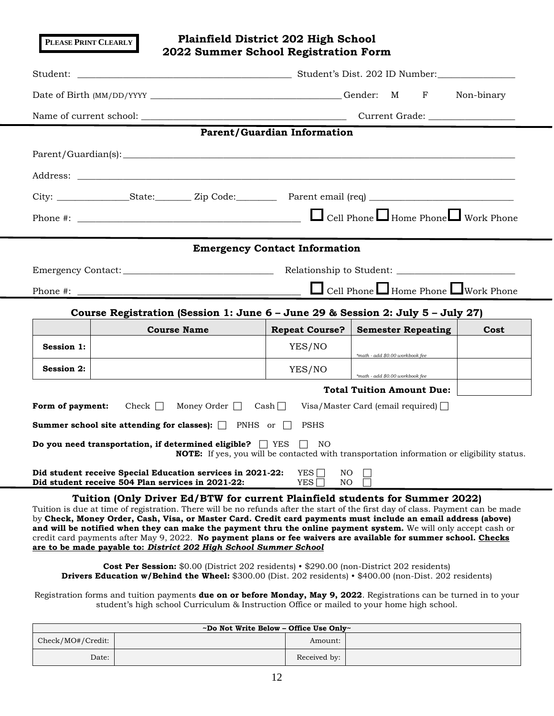**Plainfield District 202 High School 2022 Summer School Registration Form** Student: \_\_\_\_\_\_\_\_\_\_\_\_\_\_\_\_\_\_\_\_\_\_\_\_\_\_\_\_\_\_\_\_\_\_\_\_\_\_\_\_\_\_\_\_\_\_\_ Student's Dist. 202 ID Number:\_\_\_\_\_\_\_\_\_\_\_\_\_\_\_\_\_ Date of Birth (MM/DD/YYYY \_\_\_\_\_\_\_\_\_\_\_\_\_\_\_\_\_\_\_\_\_\_\_\_\_\_\_\_\_\_\_\_\_\_\_\_\_\_\_\_\_\_ Gender: M F Non-binary Name of current school: \_\_\_\_\_\_\_\_\_\_\_\_\_\_\_\_\_\_\_\_\_\_\_\_\_\_\_\_\_\_\_\_\_\_\_\_\_\_\_\_\_\_\_\_\_ Current Grade: \_\_\_\_\_\_\_\_\_\_\_\_\_\_\_\_\_\_\_ **Parent/Guardian Information** Parent/Guardian(s): \_\_\_\_\_\_\_\_\_\_\_\_\_\_\_\_\_\_\_\_\_\_\_\_\_\_\_\_\_\_\_\_\_\_\_\_\_\_\_\_\_\_\_\_\_\_\_\_\_\_\_\_\_\_\_\_\_\_\_\_\_\_\_\_\_\_\_\_\_\_\_\_\_\_\_\_\_\_\_\_\_\_\_\_\_\_ Address: \_\_\_\_\_\_\_\_\_\_\_\_\_\_\_\_\_\_\_\_\_\_\_\_\_\_\_\_\_\_\_\_\_\_\_\_\_\_\_\_\_\_\_\_\_\_\_\_\_\_\_\_\_\_\_\_\_\_\_\_\_\_\_\_\_\_\_\_\_\_\_\_\_\_\_\_\_\_\_\_\_\_\_\_\_\_\_\_\_\_\_\_\_\_\_\_ City: \_\_\_\_\_\_\_\_\_\_\_\_\_\_\_\_State:\_\_\_\_\_\_\_\_ Zip Code:\_\_\_\_\_\_\_\_\_ Parent email (req) \_\_\_\_\_\_\_\_\_\_\_\_\_\_\_\_\_\_\_\_\_\_\_\_\_\_\_\_\_\_\_\_ Phone #: \_\_\_\_\_\_\_\_\_\_\_\_\_\_\_\_\_\_\_\_\_\_\_\_\_\_\_\_\_\_\_\_\_\_\_\_\_\_\_\_\_\_\_\_\_\_\_\_\_ Cell Phone Home Phone Work Phone **Emergency Contact Information** Emergency Contact: \_\_\_\_\_\_\_\_\_\_\_\_\_\_\_\_\_\_\_\_\_\_\_\_\_\_\_\_\_\_\_\_\_ Relationship to Student: \_\_\_\_\_\_\_\_\_\_\_\_\_\_\_\_\_\_\_\_\_\_\_\_\_\_ Phone #: \_\_\_\_\_\_\_\_\_\_\_\_\_\_\_\_\_\_\_\_\_\_\_\_\_\_\_\_\_\_\_\_\_\_\_\_\_\_\_\_\_\_\_\_\_\_\_\_\_ Cell Phone Home Phone Work Phone **Course Registration (Session 1: June 6 – June 29 & Session 2: July 5 – July 27) Course Name Repeat Course? Semester Repeating Cost Session 1:** YES/NO *\*math - add \$0.00 workbook fee* **Session 2:** YES/NO *\*math - add \$0.00 workbook fee* **Total Tuition Amount Due:** Form of payment: Check Money Order Cash Visa/Master Card (email required)  $\Box$ **Summer school site attending for classes):**  $\Box$  PNHS or  $\Box$  PSHS **Do you need transportation, if determined eligible?**  $\Box$  YES  $\Box$  NO **NOTE:** If yes, you will be contacted with transportation information or eligibility status. **Did student receive Special Education services in 2021-22:** YES  $\Box$  NO **Did student receive 504 Plan services in 2021-22:** YES NO **Tuition (Only Driver Ed/BTW for current Plainfield students for Summer 2022)** Tuition is due at time of registration. There will be no refunds after the start of the first day of class. Payment can be made by **Check, Money Order, Cash, Visa, or Master Card. Credit card payments must include an email address (above) and will be notified when they can make the payment thru the online payment system.** We will only accept cash or credit card payments after May 9, 2022. **No payment plans or fee waivers are available for summer school. Checks are to be made payable to:** *District 202 High School Summer School* **PLEASE PRINT CLEARLY**

**Cost Per Session:** \$0.00 (District 202 residents) • \$290.00 (non-District 202 residents) **Drivers Education w/Behind the Wheel:** \$300.00 (Dist. 202 residents) • \$400.00 (non-Dist. 202 residents)

Registration forms and tuition payments **due on or before Monday, May 9, 2022**. Registrations can be turned in to your student's high school Curriculum & Instruction Office or mailed to your home high school.

| ~Do Not Write Below – Office Use Only~ |  |              |  |
|----------------------------------------|--|--------------|--|
| Check/MO#/Credit:                      |  | Amount:      |  |
| Date:                                  |  | Received by: |  |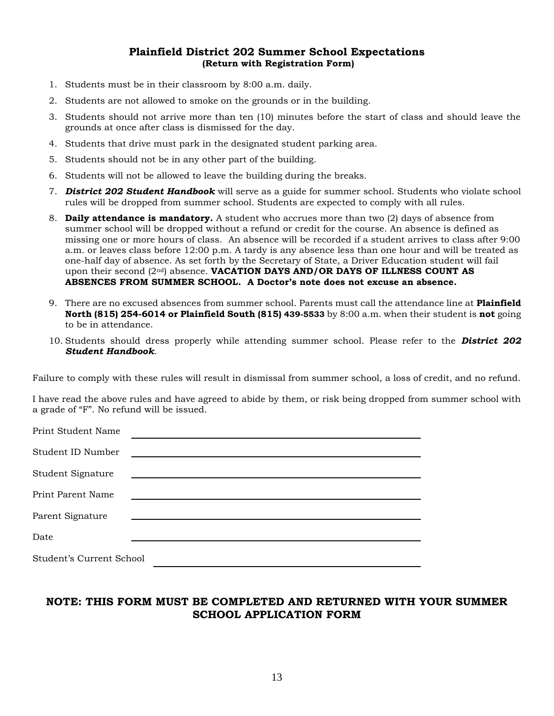### **Plainfield District 202 Summer School Expectations (Return with Registration Form)**

- 1. Students must be in their classroom by 8:00 a.m. daily.
- 2. Students are not allowed to smoke on the grounds or in the building.
- 3. Students should not arrive more than ten (10) minutes before the start of class and should leave the grounds at once after class is dismissed for the day.
- 4. Students that drive must park in the designated student parking area.
- 5. Students should not be in any other part of the building.
- 6. Students will not be allowed to leave the building during the breaks.
- 7. *District 202 Student Handbook* will serve as a guide for summer school. Students who violate school rules will be dropped from summer school. Students are expected to comply with all rules.
- 8. **Daily attendance is mandatory.** A student who accrues more than two (2) days of absence from summer school will be dropped without a refund or credit for the course. An absence is defined as missing one or more hours of class. An absence will be recorded if a student arrives to class after 9:00 a.m. or leaves class before 12:00 p.m. A tardy is any absence less than one hour and will be treated as one-half day of absence. As set forth by the Secretary of State, a Driver Education student will fail upon their second (2nd) absence. **VACATION DAYS AND/OR DAYS OF ILLNESS COUNT AS ABSENCES FROM SUMMER SCHOOL. A Doctor's note does not excuse an absence.**
- 9. There are no excused absences from summer school. Parents must call the attendance line at **Plainfield North (815) 254-6014 or Plainfield South (815) 439-5533** by 8:00 a.m. when their student is **not** going to be in attendance.
- 10. Students should dress properly while attending summer school. Please refer to the *District 202 Student Handbook*.

Failure to comply with these rules will result in dismissal from summer school, a loss of credit, and no refund.

I have read the above rules and have agreed to abide by them, or risk being dropped from summer school with a grade of "F". No refund will be issued.

| Print Student Name       |                                                                                                                         |  |
|--------------------------|-------------------------------------------------------------------------------------------------------------------------|--|
| Student ID Number        | <u> 1989 - Johann John Stone, mars et al. 1989 - John Stone, mars et al. 1989 - John Stone, mars et al. 1989 - Joh</u>  |  |
| Student Signature        | <u> The Communication of the Communication of the Communication of the Communication of the Communication of the Co</u> |  |
| Print Parent Name        |                                                                                                                         |  |
| Parent Signature         |                                                                                                                         |  |
| Date                     |                                                                                                                         |  |
| Student's Current School |                                                                                                                         |  |

# **NOTE: THIS FORM MUST BE COMPLETED AND RETURNED WITH YOUR SUMMER SCHOOL APPLICATION FORM**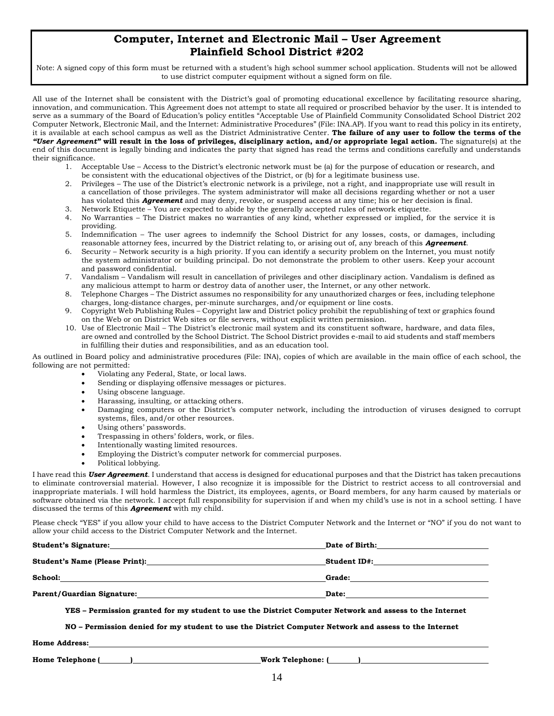# **Computer, Internet and Electronic Mail – User Agreement Plainfield School District #202**

Note: A signed copy of this form must be returned with a student's high school summer school application. Students will not be allowed to use district computer equipment without a signed form on file.

All use of the Internet shall be consistent with the District's goal of promoting educational excellence by facilitating resource sharing, innovation, and communication. This Agreement does not attempt to state all required or proscribed behavior by the user. It is intended to serve as a summary of the Board of Education's policy entitles "Acceptable Use of Plainfield Community Consolidated School District 202 Computer Network, Electronic Mail, and the Internet: Administrative Procedures" (File: INA.AP). If you want to read this policy in its entirety, it is available at each school campus as well as the District Administrative Center. **The failure of any user to follow the terms of the**  *"User Agreement"* **will result in the loss of privileges, disciplinary action, and/or appropriate legal action.** The signature(s) at the end of this document is legally binding and indicates the party that signed has read the terms and conditions carefully and understands their significance.

- 1. Acceptable Use Access to the District's electronic network must be (a) for the purpose of education or research, and be consistent with the educational objectives of the District, or (b) for a legitimate business use.
- 2. Privileges The use of the District's electronic network is a privilege, not a right, and inappropriate use will result in a cancellation of those privileges. The system administrator will make all decisions regarding whether or not a user has violated this *Agreement* and may deny, revoke, or suspend access at any time; his or her decision is final.
- 3. Network Etiquette You are expected to abide by the generally accepted rules of network etiquette.
- 4. No Warranties The District makes no warranties of any kind, whether expressed or implied, for the service it is providing.
- 5. Indemnification The user agrees to indemnify the School District for any losses, costs, or damages, including reasonable attorney fees, incurred by the District relating to, or arising out of, any breach of this *Agreement*.
- 6. Security Network security is a high priority. If you can identify a security problem on the Internet, you must notify the system administrator or building principal. Do not demonstrate the problem to other users. Keep your account and password confidential.
- 7. Vandalism Vandalism will result in cancellation of privileges and other disciplinary action. Vandalism is defined as any malicious attempt to harm or destroy data of another user, the Internet, or any other network.
- 8. Telephone Charges The District assumes no responsibility for any unauthorized charges or fees, including telephone charges, long-distance charges, per-minute surcharges, and/or equipment or line costs.
- 9. Copyright Web Publishing Rules Copyright law and District policy prohibit the republishing of text or graphics found on the Web or on District Web sites or file servers, without explicit written permission.
- 10. Use of Electronic Mail The District's electronic mail system and its constituent software, hardware, and data files, are owned and controlled by the School District. The School District provides e-mail to aid students and staff members in fulfilling their duties and responsibilities, and as an education tool.

As outlined in Board policy and administrative procedures (File: INA), copies of which are available in the main office of each school, the following are not permitted:

- Violating any Federal, State, or local laws.
- Sending or displaying offensive messages or pictures.
- Using obscene language.
- Harassing, insulting, or attacking others.
- Damaging computers or the District's computer network, including the introduction of viruses designed to corrupt systems, files, and/or other resources.
- Using others' passwords.
- Trespassing in others' folders, work, or files.
- Intentionally wasting limited resources.
- Employing the District's computer network for commercial purposes.
- Political lobbying.

I have read this *User Agreement*. I understand that access is designed for educational purposes and that the District has taken precautions to eliminate controversial material. However, I also recognize it is impossible for the District to restrict access to all controversial and inappropriate materials. I will hold harmless the District, its employees, agents, or Board members, for any harm caused by materials or software obtained via the network. I accept full responsibility for supervision if and when my child's use is not in a school setting. I have discussed the terms of this *Agreement* with my child.

Please check "YES" if you allow your child to have access to the District Computer Network and the Internet or "NO" if you do not want to allow your child access to the District Computer Network and the Internet.

| <b>Student's Signature:</b>           | Date of Birth: |
|---------------------------------------|----------------|
| <b>Student's Name (Please Print):</b> | Student ID#:   |
| School:                               | Grade:         |
| <b>Parent/Guardian Signature:</b>     | Date:          |

**YES – Permission granted for my student to use the District Computer Network and assess to the Internet**

**NO – Permission denied for my student to use the District Computer Network and assess to the Internet**

**Home Address:**

**Home Telephone ( ) Work Telephone: ( )**